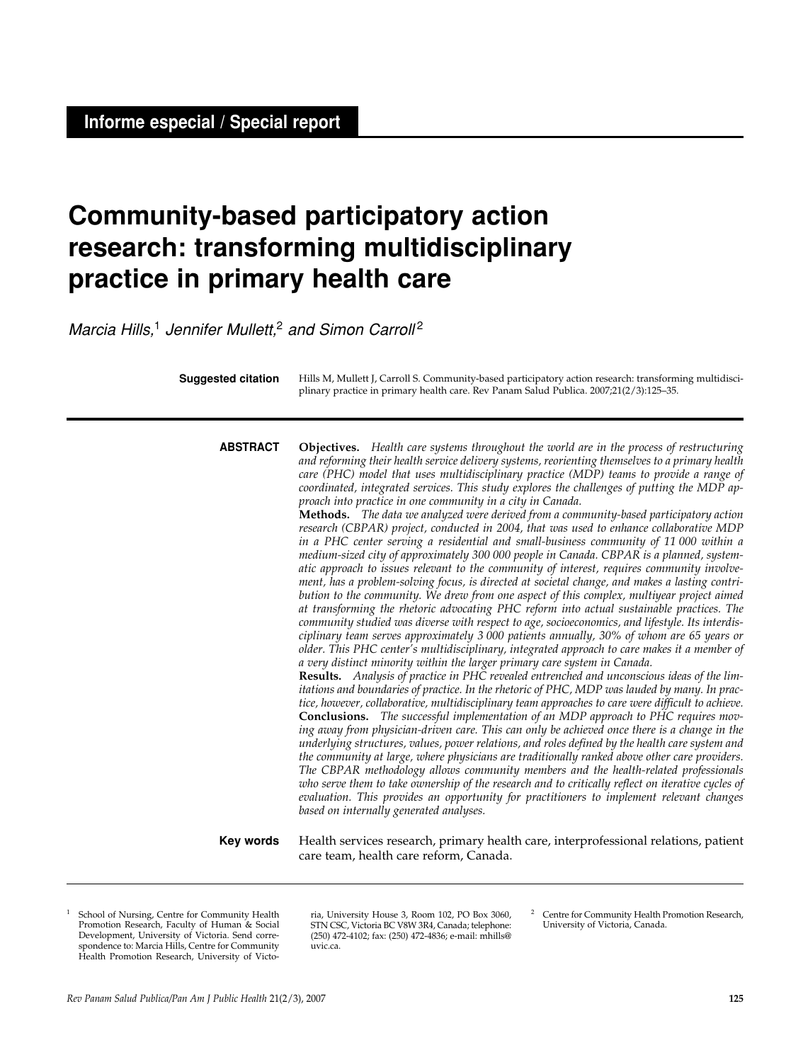# **Community-based participatory action research: transforming multidisciplinary practice in primary health care**

Marcia Hills,<sup>1</sup> Jennifer Mullett,<sup>2</sup> and Simon Carroll<sup>2</sup>

Hills M, Mullett J, Carroll S. Community-based participatory action research: transforming multidisciplinary practice in primary health care. Rev Panam Salud Publica. 2007;21(2/3):125–35. **Suggested citation**

**Objectives.** *Health care systems throughout the world are in the process of restructuring and reforming their health service delivery systems, reorienting themselves to a primary health care (PHC) model that uses multidisciplinary practice (MDP) teams to provide a range of coordinated, integrated services. This study explores the challenges of putting the MDP approach into practice in one community in a city in Canada.* **ABSTRACT**

> **Methods.** *The data we analyzed were derived from a community-based participatory action research (CBPAR) project, conducted in 2004, that was used to enhance collaborative MDP in a PHC center serving a residential and small-business community of 11 000 within a medium-sized city of approximately 300 000 people in Canada. CBPAR is a planned, systematic approach to issues relevant to the community of interest, requires community involvement, has a problem-solving focus, is directed at societal change, and makes a lasting contribution to the community. We drew from one aspect of this complex, multiyear project aimed at transforming the rhetoric advocating PHC reform into actual sustainable practices. The community studied was diverse with respect to age, socioeconomics, and lifestyle. Its interdisciplinary team serves approximately 3 000 patients annually, 30% of whom are 65 years or older. This PHC center's multidisciplinary, integrated approach to care makes it a member of a very distinct minority within the larger primary care system in Canada.*

> **Results.** *Analysis of practice in PHC revealed entrenched and unconscious ideas of the limitations and boundaries of practice. In the rhetoric of PHC, MDP was lauded by many. In practice, however, collaborative, multidisciplinary team approaches to care were difficult to achieve.* **Conclusions.** *The successful implementation of an MDP approach to PHC requires moving away from physician-driven care. This can only be achieved once there is a change in the underlying structures, values, power relations, and roles defined by the health care system and the community at large, where physicians are traditionally ranked above other care providers. The CBPAR methodology allows community members and the health-related professionals who serve them to take ownership of the research and to critically reflect on iterative cycles of evaluation. This provides an opportunity for practitioners to implement relevant changes based on internally generated analyses.*

Health services research, primary health care, interprofessional relations, patient care team, health care reform, Canada. **Key words**

School of Nursing, Centre for Community Health Promotion Research, Faculty of Human & Social Development, University of Victoria. Send correspondence to: Marcia Hills, Centre for Community Health Promotion Research, University of Victo-

ria, University House 3, Room 102, PO Box 3060, STN CSC, Victoria BC V8W 3R4, Canada; telephone: (250) 472-4102; fax: (250) 472-4836; e-mail: mhills@ uvic.ca.

<sup>2</sup> Centre for Community Health Promotion Research, University of Victoria, Canada.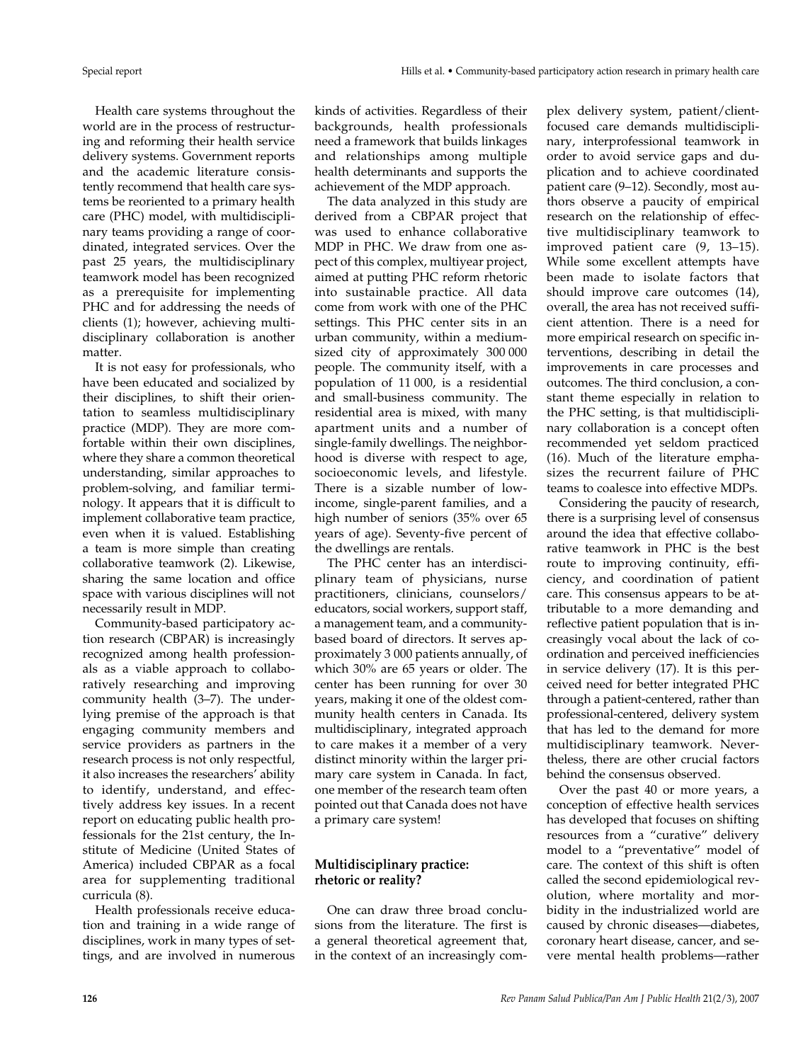Health care systems throughout the world are in the process of restructuring and reforming their health service delivery systems. Government reports and the academic literature consistently recommend that health care systems be reoriented to a primary health care (PHC) model, with multidisciplinary teams providing a range of coordinated, integrated services. Over the past 25 years, the multidisciplinary teamwork model has been recognized as a prerequisite for implementing PHC and for addressing the needs of clients (1); however, achieving multidisciplinary collaboration is another matter.

It is not easy for professionals, who have been educated and socialized by their disciplines, to shift their orientation to seamless multidisciplinary practice (MDP). They are more comfortable within their own disciplines, where they share a common theoretical understanding, similar approaches to problem-solving, and familiar terminology. It appears that it is difficult to implement collaborative team practice, even when it is valued. Establishing a team is more simple than creating collaborative teamwork (2). Likewise, sharing the same location and office space with various disciplines will not necessarily result in MDP.

Community-based participatory action research (CBPAR) is increasingly recognized among health professionals as a viable approach to collaboratively researching and improving community health (3–7). The underlying premise of the approach is that engaging community members and service providers as partners in the research process is not only respectful, it also increases the researchers' ability to identify, understand, and effectively address key issues. In a recent report on educating public health professionals for the 21st century, the Institute of Medicine (United States of America) included CBPAR as a focal area for supplementing traditional curricula (8).

Health professionals receive education and training in a wide range of disciplines, work in many types of settings, and are involved in numerous

kinds of activities. Regardless of their backgrounds, health professionals need a framework that builds linkages and relationships among multiple health determinants and supports the achievement of the MDP approach.

The data analyzed in this study are derived from a CBPAR project that was used to enhance collaborative MDP in PHC. We draw from one aspect of this complex, multiyear project, aimed at putting PHC reform rhetoric into sustainable practice. All data come from work with one of the PHC settings. This PHC center sits in an urban community, within a mediumsized city of approximately 300 000 people. The community itself, with a population of 11 000, is a residential and small-business community. The residential area is mixed, with many apartment units and a number of single-family dwellings. The neighborhood is diverse with respect to age, socioeconomic levels, and lifestyle. There is a sizable number of lowincome, single-parent families, and a high number of seniors (35% over 65 years of age). Seventy-five percent of the dwellings are rentals.

The PHC center has an interdisciplinary team of physicians, nurse practitioners, clinicians, counselors/ educators, social workers, support staff, a management team, and a communitybased board of directors. It serves approximately 3 000 patients annually, of which 30% are 65 years or older. The center has been running for over 30 years, making it one of the oldest community health centers in Canada. Its multidisciplinary, integrated approach to care makes it a member of a very distinct minority within the larger primary care system in Canada. In fact, one member of the research team often pointed out that Canada does not have a primary care system!

## **Multidisciplinary practice: rhetoric or reality?**

One can draw three broad conclusions from the literature. The first is a general theoretical agreement that, in the context of an increasingly complex delivery system, patient/clientfocused care demands multidisciplinary, interprofessional teamwork in order to avoid service gaps and duplication and to achieve coordinated patient care (9–12). Secondly, most authors observe a paucity of empirical research on the relationship of effective multidisciplinary teamwork to improved patient care (9, 13–15). While some excellent attempts have been made to isolate factors that should improve care outcomes (14), overall, the area has not received sufficient attention. There is a need for more empirical research on specific interventions, describing in detail the improvements in care processes and outcomes. The third conclusion, a constant theme especially in relation to the PHC setting, is that multidisciplinary collaboration is a concept often recommended yet seldom practiced (16). Much of the literature emphasizes the recurrent failure of PHC teams to coalesce into effective MDPs.

Considering the paucity of research, there is a surprising level of consensus around the idea that effective collaborative teamwork in PHC is the best route to improving continuity, efficiency, and coordination of patient care. This consensus appears to be attributable to a more demanding and reflective patient population that is increasingly vocal about the lack of coordination and perceived inefficiencies in service delivery (17). It is this perceived need for better integrated PHC through a patient-centered, rather than professional-centered, delivery system that has led to the demand for more multidisciplinary teamwork. Nevertheless, there are other crucial factors behind the consensus observed.

Over the past 40 or more years, a conception of effective health services has developed that focuses on shifting resources from a "curative" delivery model to a "preventative" model of care. The context of this shift is often called the second epidemiological revolution, where mortality and morbidity in the industrialized world are caused by chronic diseases—diabetes, coronary heart disease, cancer, and severe mental health problems—rather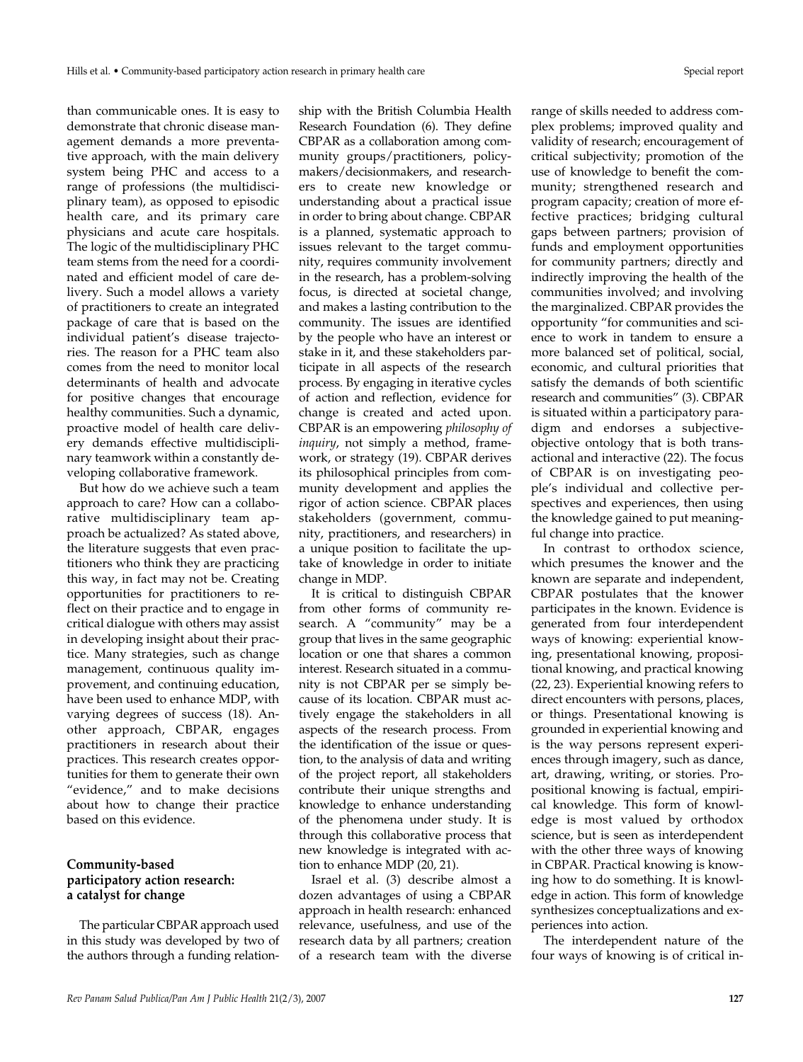than communicable ones. It is easy to demonstrate that chronic disease management demands a more preventative approach, with the main delivery system being PHC and access to a range of professions (the multidisciplinary team), as opposed to episodic health care, and its primary care physicians and acute care hospitals. The logic of the multidisciplinary PHC team stems from the need for a coordinated and efficient model of care delivery. Such a model allows a variety of practitioners to create an integrated package of care that is based on the individual patient's disease trajectories. The reason for a PHC team also comes from the need to monitor local determinants of health and advocate for positive changes that encourage healthy communities. Such a dynamic, proactive model of health care delivery demands effective multidisciplinary teamwork within a constantly developing collaborative framework.

But how do we achieve such a team approach to care? How can a collaborative multidisciplinary team approach be actualized? As stated above, the literature suggests that even practitioners who think they are practicing this way, in fact may not be. Creating opportunities for practitioners to reflect on their practice and to engage in critical dialogue with others may assist in developing insight about their practice. Many strategies, such as change management, continuous quality improvement, and continuing education, have been used to enhance MDP, with varying degrees of success (18). Another approach, CBPAR, engages practitioners in research about their practices. This research creates opportunities for them to generate their own "evidence," and to make decisions about how to change their practice based on this evidence.

## **Community-based participatory action research: a catalyst for change**

The particular CBPAR approach used in this study was developed by two of the authors through a funding relationship with the British Columbia Health Research Foundation (6). They define CBPAR as a collaboration among community groups/practitioners, policymakers/decisionmakers, and researchers to create new knowledge or understanding about a practical issue in order to bring about change. CBPAR is a planned, systematic approach to issues relevant to the target community, requires community involvement in the research, has a problem-solving focus, is directed at societal change, and makes a lasting contribution to the community. The issues are identified by the people who have an interest or stake in it, and these stakeholders participate in all aspects of the research process. By engaging in iterative cycles of action and reflection, evidence for change is created and acted upon. CBPAR is an empowering *philosophy of inquiry*, not simply a method, framework, or strategy (19). CBPAR derives its philosophical principles from community development and applies the rigor of action science. CBPAR places stakeholders (government, community, practitioners, and researchers) in a unique position to facilitate the uptake of knowledge in order to initiate change in MDP.

It is critical to distinguish CBPAR from other forms of community research. A "community" may be a group that lives in the same geographic location or one that shares a common interest. Research situated in a community is not CBPAR per se simply because of its location. CBPAR must actively engage the stakeholders in all aspects of the research process. From the identification of the issue or question, to the analysis of data and writing of the project report, all stakeholders contribute their unique strengths and knowledge to enhance understanding of the phenomena under study. It is through this collaborative process that new knowledge is integrated with action to enhance MDP (20, 21).

Israel et al. (3) describe almost a dozen advantages of using a CBPAR approach in health research: enhanced relevance, usefulness, and use of the research data by all partners; creation of a research team with the diverse

range of skills needed to address complex problems; improved quality and validity of research; encouragement of critical subjectivity; promotion of the use of knowledge to benefit the community; strengthened research and program capacity; creation of more effective practices; bridging cultural gaps between partners; provision of funds and employment opportunities for community partners; directly and indirectly improving the health of the communities involved; and involving the marginalized. CBPAR provides the opportunity "for communities and science to work in tandem to ensure a more balanced set of political, social, economic, and cultural priorities that satisfy the demands of both scientific research and communities" (3). CBPAR is situated within a participatory paradigm and endorses a subjectiveobjective ontology that is both transactional and interactive (22). The focus of CBPAR is on investigating people's individual and collective perspectives and experiences, then using the knowledge gained to put meaningful change into practice.

In contrast to orthodox science, which presumes the knower and the known are separate and independent, CBPAR postulates that the knower participates in the known. Evidence is generated from four interdependent ways of knowing: experiential knowing, presentational knowing, propositional knowing, and practical knowing (22, 23). Experiential knowing refers to direct encounters with persons, places, or things. Presentational knowing is grounded in experiential knowing and is the way persons represent experiences through imagery, such as dance, art, drawing, writing, or stories. Propositional knowing is factual, empirical knowledge. This form of knowledge is most valued by orthodox science, but is seen as interdependent with the other three ways of knowing in CBPAR. Practical knowing is knowing how to do something. It is knowledge in action. This form of knowledge synthesizes conceptualizations and experiences into action.

The interdependent nature of the four ways of knowing is of critical in-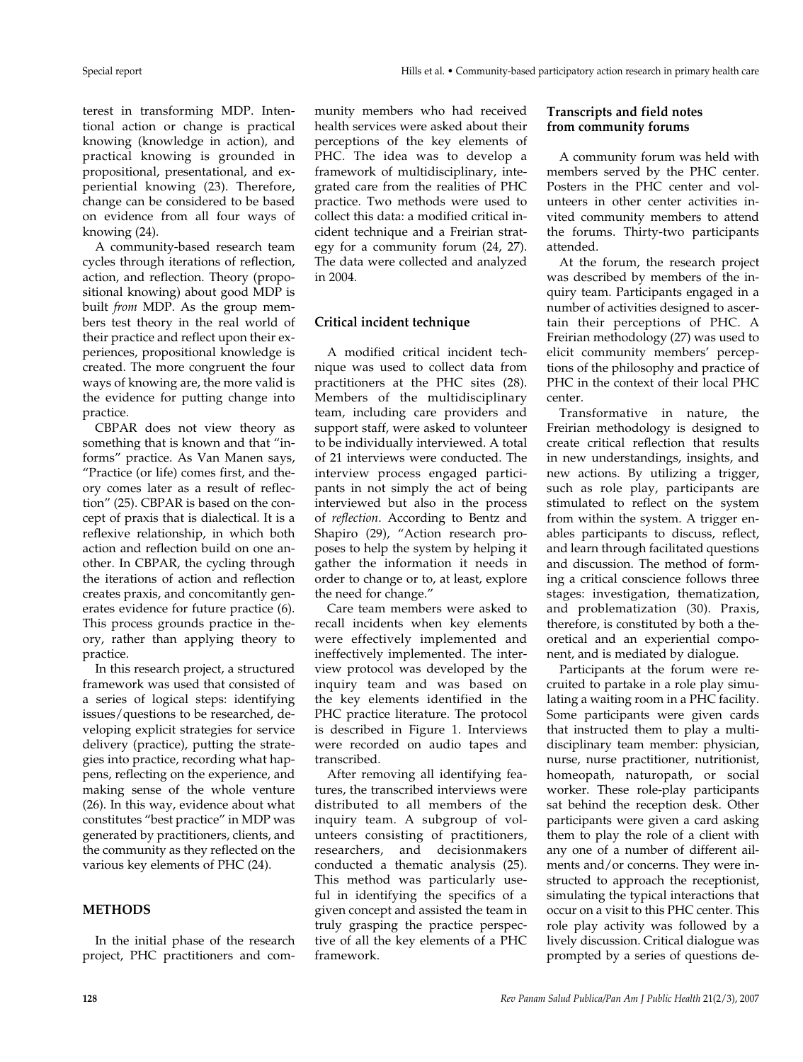terest in transforming MDP. Intentional action or change is practical knowing (knowledge in action), and practical knowing is grounded in propositional, presentational, and experiential knowing (23). Therefore, change can be considered to be based on evidence from all four ways of knowing (24).

A community-based research team cycles through iterations of reflection, action, and reflection. Theory (propositional knowing) about good MDP is built *from* MDP. As the group members test theory in the real world of their practice and reflect upon their experiences, propositional knowledge is created. The more congruent the four ways of knowing are, the more valid is the evidence for putting change into practice.

CBPAR does not view theory as something that is known and that "informs" practice. As Van Manen says, "Practice (or life) comes first, and theory comes later as a result of reflection" (25). CBPAR is based on the concept of praxis that is dialectical. It is a reflexive relationship, in which both action and reflection build on one another. In CBPAR, the cycling through the iterations of action and reflection creates praxis, and concomitantly generates evidence for future practice (6). This process grounds practice in theory, rather than applying theory to practice.

In this research project, a structured framework was used that consisted of a series of logical steps: identifying issues/questions to be researched, developing explicit strategies for service delivery (practice), putting the strategies into practice, recording what happens, reflecting on the experience, and making sense of the whole venture (26). In this way, evidence about what constitutes "best practice" in MDP was generated by practitioners, clients, and the community as they reflected on the various key elements of PHC (24).

## **METHODS**

In the initial phase of the research project, PHC practitioners and community members who had received health services were asked about their perceptions of the key elements of PHC. The idea was to develop a framework of multidisciplinary, integrated care from the realities of PHC practice. Two methods were used to collect this data: a modified critical incident technique and a Freirian strategy for a community forum (24, 27). The data were collected and analyzed in 2004.

#### **Critical incident technique**

A modified critical incident technique was used to collect data from practitioners at the PHC sites (28). Members of the multidisciplinary team, including care providers and support staff, were asked to volunteer to be individually interviewed. A total of 21 interviews were conducted. The interview process engaged participants in not simply the act of being interviewed but also in the process of *reflection*. According to Bentz and Shapiro (29), "Action research proposes to help the system by helping it gather the information it needs in order to change or to, at least, explore the need for change."

Care team members were asked to recall incidents when key elements were effectively implemented and ineffectively implemented. The interview protocol was developed by the inquiry team and was based on the key elements identified in the PHC practice literature. The protocol is described in Figure 1. Interviews were recorded on audio tapes and transcribed.

After removing all identifying features, the transcribed interviews were distributed to all members of the inquiry team. A subgroup of volunteers consisting of practitioners, researchers, and decisionmakers conducted a thematic analysis (25). This method was particularly useful in identifying the specifics of a given concept and assisted the team in truly grasping the practice perspective of all the key elements of a PHC framework.

## **Transcripts and field notes from community forums**

A community forum was held with members served by the PHC center. Posters in the PHC center and volunteers in other center activities invited community members to attend the forums. Thirty-two participants attended.

At the forum, the research project was described by members of the inquiry team. Participants engaged in a number of activities designed to ascertain their perceptions of PHC. A Freirian methodology (27) was used to elicit community members' perceptions of the philosophy and practice of PHC in the context of their local PHC center.

Transformative in nature, the Freirian methodology is designed to create critical reflection that results in new understandings, insights, and new actions. By utilizing a trigger, such as role play, participants are stimulated to reflect on the system from within the system. A trigger enables participants to discuss, reflect, and learn through facilitated questions and discussion. The method of forming a critical conscience follows three stages: investigation, thematization, and problematization (30). Praxis, therefore, is constituted by both a theoretical and an experiential component, and is mediated by dialogue.

Participants at the forum were recruited to partake in a role play simulating a waiting room in a PHC facility. Some participants were given cards that instructed them to play a multidisciplinary team member: physician, nurse, nurse practitioner, nutritionist, homeopath, naturopath, or social worker. These role-play participants sat behind the reception desk. Other participants were given a card asking them to play the role of a client with any one of a number of different ailments and/or concerns. They were instructed to approach the receptionist, simulating the typical interactions that occur on a visit to this PHC center. This role play activity was followed by a lively discussion. Critical dialogue was prompted by a series of questions de-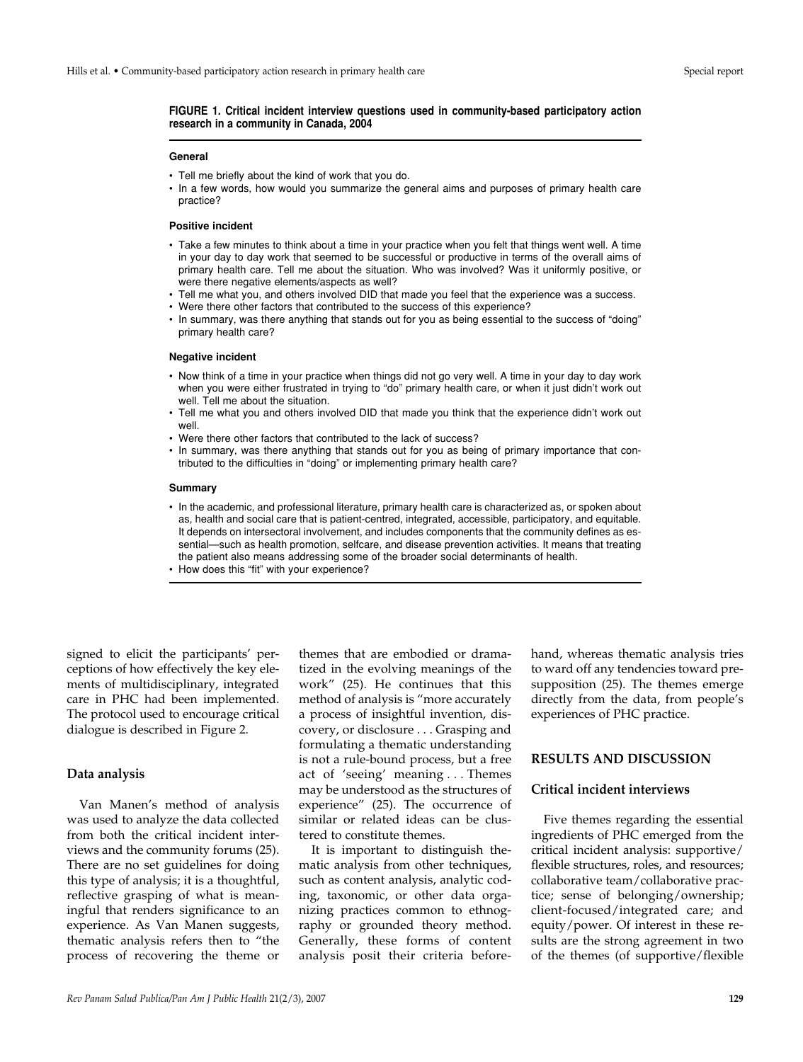#### **FIGURE 1. Critical incident interview questions used in community-based participatory action research in a community in Canada, 2004**

#### **General**

- Tell me briefly about the kind of work that you do.
- In a few words, how would you summarize the general aims and purposes of primary health care practice?

#### **Positive incident**

- Take a few minutes to think about a time in your practice when you felt that things went well. A time in your day to day work that seemed to be successful or productive in terms of the overall aims of primary health care. Tell me about the situation. Who was involved? Was it uniformly positive, or were there negative elements/aspects as well?
- Tell me what you, and others involved DID that made you feel that the experience was a success.
- Were there other factors that contributed to the success of this experience?
- In summary, was there anything that stands out for you as being essential to the success of "doing" primary health care?

#### **Negative incident**

- Now think of a time in your practice when things did not go very well. A time in your day to day work when you were either frustrated in trying to "do" primary health care, or when it just didn't work out well. Tell me about the situation.
- Tell me what you and others involved DID that made you think that the experience didn't work out well.
- Were there other factors that contributed to the lack of success?
- In summary, was there anything that stands out for you as being of primary importance that contributed to the difficulties in "doing" or implementing primary health care?

#### **Summary**

- In the academic, and professional literature, primary health care is characterized as, or spoken about as, health and social care that is patient-centred, integrated, accessible, participatory, and equitable. It depends on intersectoral involvement, and includes components that the community defines as essential—such as health promotion, selfcare, and disease prevention activities. It means that treating the patient also means addressing some of the broader social determinants of health.
- How does this "fit" with your experience?

signed to elicit the participants' perceptions of how effectively the key elements of multidisciplinary, integrated care in PHC had been implemented. The protocol used to encourage critical dialogue is described in Figure 2.

#### **Data analysis**

Van Manen's method of analysis was used to analyze the data collected from both the critical incident interviews and the community forums (25). There are no set guidelines for doing this type of analysis; it is a thoughtful, reflective grasping of what is meaningful that renders significance to an experience. As Van Manen suggests, thematic analysis refers then to "the process of recovering the theme or

themes that are embodied or dramatized in the evolving meanings of the work" (25). He continues that this method of analysis is "more accurately a process of insightful invention, discovery, or disclosure... Grasping and formulating a thematic understanding is not a rule-bound process, but a free act of 'seeing' meaning . . . Themes may be understood as the structures of experience" (25). The occurrence of similar or related ideas can be clustered to constitute themes.

It is important to distinguish thematic analysis from other techniques, such as content analysis, analytic coding, taxonomic, or other data organizing practices common to ethnography or grounded theory method. Generally, these forms of content analysis posit their criteria beforehand, whereas thematic analysis tries to ward off any tendencies toward presupposition (25). The themes emerge directly from the data, from people's experiences of PHC practice.

## **RESULTS AND DISCUSSION**

#### **Critical incident interviews**

Five themes regarding the essential ingredients of PHC emerged from the critical incident analysis: supportive/ flexible structures, roles, and resources; collaborative team/collaborative practice; sense of belonging/ownership; client-focused/integrated care; and equity/power. Of interest in these results are the strong agreement in two of the themes (of supportive/flexible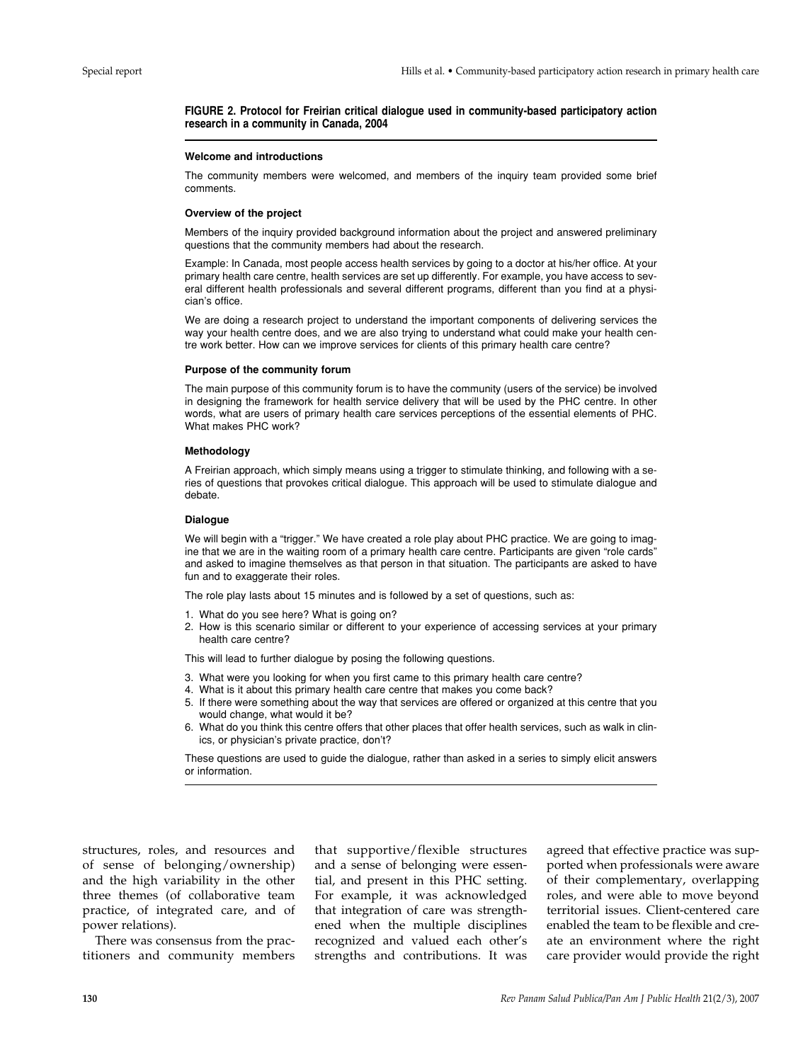#### **FIGURE 2. Protocol for Freirian critical dialogue used in community-based participatory action research in a community in Canada, 2004**

#### **Welcome and introductions**

The community members were welcomed, and members of the inquiry team provided some brief comments.

#### **Overview of the project**

Members of the inquiry provided background information about the project and answered preliminary questions that the community members had about the research.

Example: In Canada, most people access health services by going to a doctor at his/her office. At your primary health care centre, health services are set up differently. For example, you have access to several different health professionals and several different programs, different than you find at a physician's office.

We are doing a research project to understand the important components of delivering services the way your health centre does, and we are also trying to understand what could make your health centre work better. How can we improve services for clients of this primary health care centre?

#### **Purpose of the community forum**

The main purpose of this community forum is to have the community (users of the service) be involved in designing the framework for health service delivery that will be used by the PHC centre. In other words, what are users of primary health care services perceptions of the essential elements of PHC. What makes PHC work?

#### **Methodology**

A Freirian approach, which simply means using a trigger to stimulate thinking, and following with a series of questions that provokes critical dialogue. This approach will be used to stimulate dialogue and debate.

#### **Dialogue**

We will begin with a "trigger." We have created a role play about PHC practice. We are going to imagine that we are in the waiting room of a primary health care centre. Participants are given "role cards" and asked to imagine themselves as that person in that situation. The participants are asked to have fun and to exaggerate their roles.

The role play lasts about 15 minutes and is followed by a set of questions, such as:

- 1. What do you see here? What is going on?
- 2. How is this scenario similar or different to your experience of accessing services at your primary health care centre?

This will lead to further dialogue by posing the following questions.

- 3. What were you looking for when you first came to this primary health care centre?
- 4. What is it about this primary health care centre that makes you come back?
- 5. If there were something about the way that services are offered or organized at this centre that you would change, what would it be?
- 6. What do you think this centre offers that other places that offer health services, such as walk in clinics, or physician's private practice, don't?

These questions are used to guide the dialogue, rather than asked in a series to simply elicit answers or information.

structures, roles, and resources and of sense of belonging/ownership) and the high variability in the other three themes (of collaborative team practice, of integrated care, and of power relations).

There was consensus from the practitioners and community members

that supportive/flexible structures and a sense of belonging were essential, and present in this PHC setting. For example, it was acknowledged that integration of care was strengthened when the multiple disciplines recognized and valued each other's strengths and contributions. It was agreed that effective practice was supported when professionals were aware of their complementary, overlapping roles, and were able to move beyond territorial issues. Client-centered care enabled the team to be flexible and create an environment where the right care provider would provide the right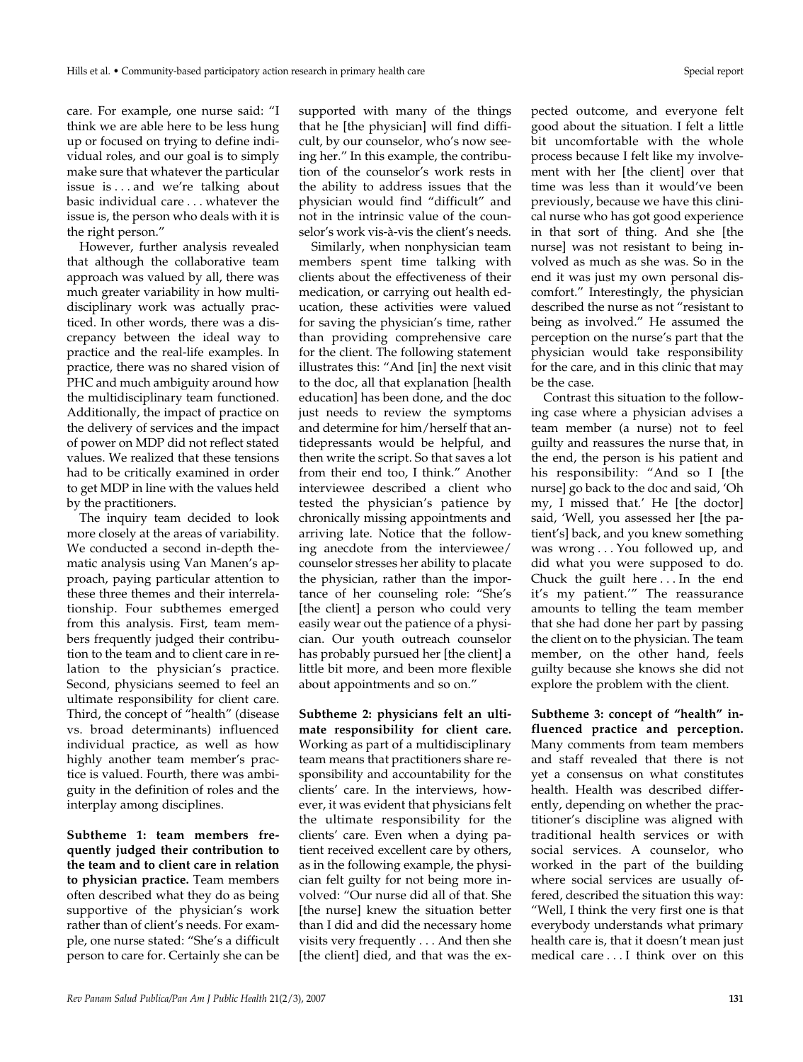care. For example, one nurse said: "I think we are able here to be less hung up or focused on trying to define individual roles, and our goal is to simply make sure that whatever the particular issue is... and we're talking about basic individual care...whatever the issue is, the person who deals with it is the right person."

However, further analysis revealed that although the collaborative team approach was valued by all, there was much greater variability in how multidisciplinary work was actually practiced. In other words, there was a discrepancy between the ideal way to practice and the real-life examples. In practice, there was no shared vision of PHC and much ambiguity around how the multidisciplinary team functioned. Additionally, the impact of practice on the delivery of services and the impact of power on MDP did not reflect stated values. We realized that these tensions had to be critically examined in order to get MDP in line with the values held by the practitioners.

The inquiry team decided to look more closely at the areas of variability. We conducted a second in-depth thematic analysis using Van Manen's approach, paying particular attention to these three themes and their interrelationship. Four subthemes emerged from this analysis. First, team members frequently judged their contribution to the team and to client care in relation to the physician's practice. Second, physicians seemed to feel an ultimate responsibility for client care. Third, the concept of "health" (disease vs. broad determinants) influenced individual practice, as well as how highly another team member's practice is valued. Fourth, there was ambiguity in the definition of roles and the interplay among disciplines.

**Subtheme 1: team members frequently judged their contribution to the team and to client care in relation to physician practice.** Team members often described what they do as being supportive of the physician's work rather than of client's needs. For example, one nurse stated: "She's a difficult person to care for. Certainly she can be

supported with many of the things that he [the physician] will find difficult, by our counselor, who's now seeing her." In this example, the contribution of the counselor's work rests in the ability to address issues that the physician would find "difficult" and not in the intrinsic value of the counselor's work vis-à-vis the client's needs.

Similarly, when nonphysician team members spent time talking with clients about the effectiveness of their medication, or carrying out health education, these activities were valued for saving the physician's time, rather than providing comprehensive care for the client. The following statement illustrates this: "And [in] the next visit to the doc, all that explanation [health education] has been done, and the doc just needs to review the symptoms and determine for him/herself that antidepressants would be helpful, and then write the script. So that saves a lot from their end too, I think." Another interviewee described a client who tested the physician's patience by chronically missing appointments and arriving late. Notice that the following anecdote from the interviewee/ counselor stresses her ability to placate the physician, rather than the importance of her counseling role: "She's [the client] a person who could very easily wear out the patience of a physician. Our youth outreach counselor has probably pursued her [the client] a little bit more, and been more flexible about appointments and so on."

**Subtheme 2: physicians felt an ultimate responsibility for client care.** Working as part of a multidisciplinary team means that practitioners share responsibility and accountability for the clients' care. In the interviews, however, it was evident that physicians felt the ultimate responsibility for the clients' care. Even when a dying patient received excellent care by others, as in the following example, the physician felt guilty for not being more involved: "Our nurse did all of that. She [the nurse] knew the situation better than I did and did the necessary home visits very frequently... And then she [the client] died, and that was the expected outcome, and everyone felt good about the situation. I felt a little bit uncomfortable with the whole process because I felt like my involvement with her [the client] over that time was less than it would've been previously, because we have this clinical nurse who has got good experience in that sort of thing. And she [the nurse] was not resistant to being involved as much as she was. So in the end it was just my own personal discomfort." Interestingly, the physician described the nurse as not "resistant to being as involved." He assumed the perception on the nurse's part that the physician would take responsibility for the care, and in this clinic that may be the case.

Contrast this situation to the following case where a physician advises a team member (a nurse) not to feel guilty and reassures the nurse that, in the end, the person is his patient and his responsibility: "And so I [the nurse] go back to the doc and said, 'Oh my, I missed that.' He [the doctor] said, 'Well, you assessed her [the patient's] back, and you knew something was wrong... You followed up, and did what you were supposed to do. Chuck the guilt here . . . In the end it's my patient.'" The reassurance amounts to telling the team member that she had done her part by passing the client on to the physician. The team member, on the other hand, feels guilty because she knows she did not explore the problem with the client.

**Subtheme 3: concept of "health" influenced practice and perception.** Many comments from team members and staff revealed that there is not yet a consensus on what constitutes health. Health was described differently, depending on whether the practitioner's discipline was aligned with traditional health services or with social services. A counselor, who worked in the part of the building where social services are usually offered, described the situation this way: "Well, I think the very first one is that everybody understands what primary health care is, that it doesn't mean just medical care . . . I think over on this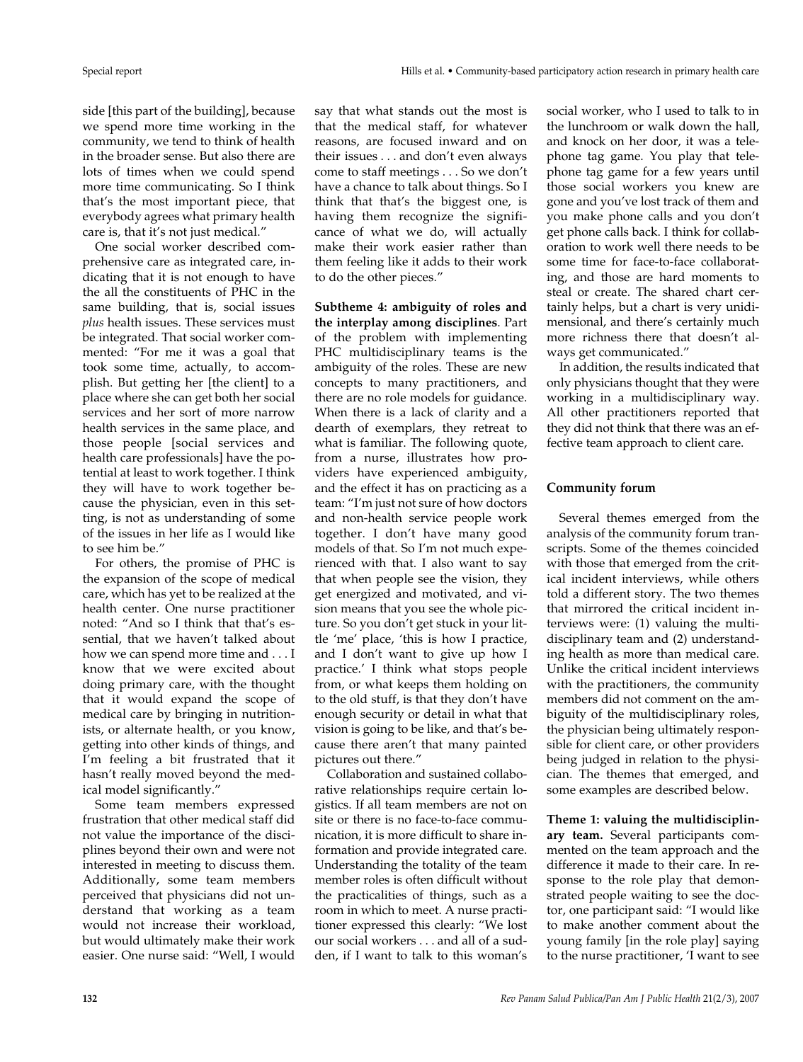side [this part of the building], because we spend more time working in the community, we tend to think of health in the broader sense. But also there are lots of times when we could spend more time communicating. So I think that's the most important piece, that everybody agrees what primary health care is, that it's not just medical."

One social worker described comprehensive care as integrated care, indicating that it is not enough to have the all the constituents of PHC in the same building, that is, social issues *plus* health issues. These services must be integrated. That social worker commented: "For me it was a goal that took some time, actually, to accomplish. But getting her [the client] to a place where she can get both her social services and her sort of more narrow health services in the same place, and those people [social services and health care professionals] have the potential at least to work together. I think they will have to work together because the physician, even in this setting, is not as understanding of some of the issues in her life as I would like to see him be."

For others, the promise of PHC is the expansion of the scope of medical care, which has yet to be realized at the health center. One nurse practitioner noted: "And so I think that that's essential, that we haven't talked about how we can spend more time and ... I know that we were excited about doing primary care, with the thought that it would expand the scope of medical care by bringing in nutritionists, or alternate health, or you know, getting into other kinds of things, and I'm feeling a bit frustrated that it hasn't really moved beyond the medical model significantly."

Some team members expressed frustration that other medical staff did not value the importance of the disciplines beyond their own and were not interested in meeting to discuss them. Additionally, some team members perceived that physicians did not understand that working as a team would not increase their workload, but would ultimately make their work easier. One nurse said: "Well, I would

say that what stands out the most is that the medical staff, for whatever reasons, are focused inward and on their issues... and don't even always come to staff meetings . . . So we don't have a chance to talk about things. So I think that that's the biggest one, is having them recognize the significance of what we do, will actually make their work easier rather than them feeling like it adds to their work to do the other pieces."

**Subtheme 4: ambiguity of roles and the interplay among disciplines**. Part of the problem with implementing PHC multidisciplinary teams is the ambiguity of the roles. These are new concepts to many practitioners, and there are no role models for guidance. When there is a lack of clarity and a dearth of exemplars, they retreat to what is familiar. The following quote, from a nurse, illustrates how providers have experienced ambiguity, and the effect it has on practicing as a team: "I'm just not sure of how doctors and non-health service people work together. I don't have many good models of that. So I'm not much experienced with that. I also want to say that when people see the vision, they get energized and motivated, and vision means that you see the whole picture. So you don't get stuck in your little 'me' place, 'this is how I practice, and I don't want to give up how I practice.' I think what stops people from, or what keeps them holding on to the old stuff, is that they don't have enough security or detail in what that vision is going to be like, and that's because there aren't that many painted pictures out there."

Collaboration and sustained collaborative relationships require certain logistics. If all team members are not on site or there is no face-to-face communication, it is more difficult to share information and provide integrated care. Understanding the totality of the team member roles is often difficult without the practicalities of things, such as a room in which to meet. A nurse practitioner expressed this clearly: "We lost our social workers... and all of a sudden, if I want to talk to this woman's

social worker, who I used to talk to in the lunchroom or walk down the hall, and knock on her door, it was a telephone tag game. You play that telephone tag game for a few years until those social workers you knew are gone and you've lost track of them and you make phone calls and you don't get phone calls back. I think for collaboration to work well there needs to be some time for face-to-face collaborating, and those are hard moments to steal or create. The shared chart certainly helps, but a chart is very unidimensional, and there's certainly much more richness there that doesn't always get communicated."

In addition, the results indicated that only physicians thought that they were working in a multidisciplinary way. All other practitioners reported that they did not think that there was an effective team approach to client care.

## **Community forum**

Several themes emerged from the analysis of the community forum transcripts. Some of the themes coincided with those that emerged from the critical incident interviews, while others told a different story. The two themes that mirrored the critical incident interviews were: (1) valuing the multidisciplinary team and (2) understanding health as more than medical care. Unlike the critical incident interviews with the practitioners, the community members did not comment on the ambiguity of the multidisciplinary roles, the physician being ultimately responsible for client care, or other providers being judged in relation to the physician. The themes that emerged, and some examples are described below.

**Theme 1: valuing the multidisciplinary team.** Several participants commented on the team approach and the difference it made to their care. In response to the role play that demonstrated people waiting to see the doctor, one participant said: "I would like to make another comment about the young family [in the role play] saying to the nurse practitioner, 'I want to see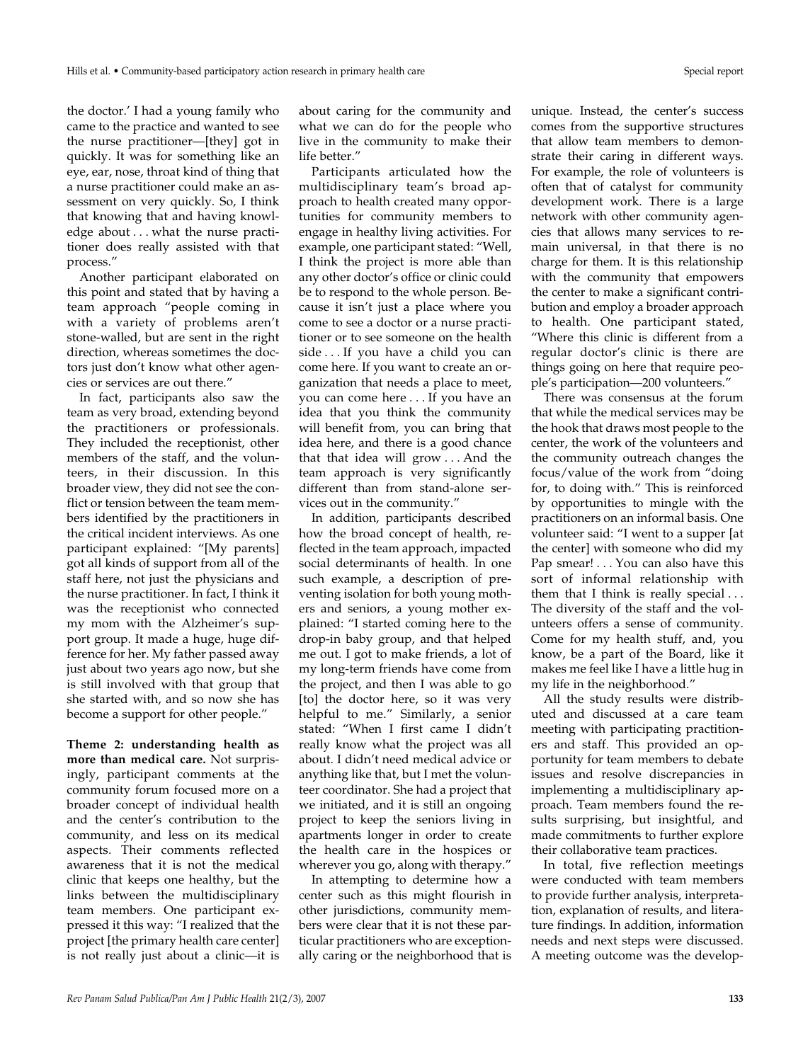the doctor.' I had a young family who came to the practice and wanted to see the nurse practitioner—[they] got in quickly. It was for something like an eye, ear, nose, throat kind of thing that a nurse practitioner could make an assessment on very quickly. So, I think that knowing that and having knowledge about...what the nurse practitioner does really assisted with that process."

Another participant elaborated on this point and stated that by having a team approach "people coming in with a variety of problems aren't stone-walled, but are sent in the right direction, whereas sometimes the doctors just don't know what other agencies or services are out there."

In fact, participants also saw the team as very broad, extending beyond the practitioners or professionals. They included the receptionist, other members of the staff, and the volunteers, in their discussion. In this broader view, they did not see the conflict or tension between the team members identified by the practitioners in the critical incident interviews. As one participant explained: "[My parents] got all kinds of support from all of the staff here, not just the physicians and the nurse practitioner. In fact, I think it was the receptionist who connected my mom with the Alzheimer's support group. It made a huge, huge difference for her. My father passed away just about two years ago now, but she is still involved with that group that she started with, and so now she has become a support for other people."

**Theme 2: understanding health as more than medical care.** Not surprisingly, participant comments at the community forum focused more on a broader concept of individual health and the center's contribution to the community, and less on its medical aspects. Their comments reflected awareness that it is not the medical clinic that keeps one healthy, but the links between the multidisciplinary team members. One participant expressed it this way: "I realized that the project [the primary health care center] is not really just about a clinic—it is

about caring for the community and what we can do for the people who live in the community to make their life better.'

Participants articulated how the multidisciplinary team's broad approach to health created many opportunities for community members to engage in healthy living activities. For example, one participant stated: "Well, I think the project is more able than any other doctor's office or clinic could be to respond to the whole person. Because it isn't just a place where you come to see a doctor or a nurse practitioner or to see someone on the health side . . . If you have a child you can come here. If you want to create an organization that needs a place to meet, you can come here . . . If you have an idea that you think the community will benefit from, you can bring that idea here, and there is a good chance that that idea will grow... And the team approach is very significantly different than from stand-alone services out in the community."

In addition, participants described how the broad concept of health, reflected in the team approach, impacted social determinants of health. In one such example, a description of preventing isolation for both young mothers and seniors, a young mother explained: "I started coming here to the drop-in baby group, and that helped me out. I got to make friends, a lot of my long-term friends have come from the project, and then I was able to go [to] the doctor here, so it was very helpful to me." Similarly, a senior stated: "When I first came I didn't really know what the project was all about. I didn't need medical advice or anything like that, but I met the volunteer coordinator. She had a project that we initiated, and it is still an ongoing project to keep the seniors living in apartments longer in order to create the health care in the hospices or wherever you go, along with therapy."

In attempting to determine how a center such as this might flourish in other jurisdictions, community members were clear that it is not these particular practitioners who are exceptionally caring or the neighborhood that is

unique. Instead, the center's success comes from the supportive structures that allow team members to demonstrate their caring in different ways. For example, the role of volunteers is often that of catalyst for community development work. There is a large network with other community agencies that allows many services to remain universal, in that there is no charge for them. It is this relationship with the community that empowers the center to make a significant contribution and employ a broader approach to health. One participant stated, "Where this clinic is different from a regular doctor's clinic is there are things going on here that require people's participation—200 volunteers."

There was consensus at the forum that while the medical services may be the hook that draws most people to the center, the work of the volunteers and the community outreach changes the focus/value of the work from "doing for, to doing with." This is reinforced by opportunities to mingle with the practitioners on an informal basis. One volunteer said: "I went to a supper [at the center] with someone who did my Pap smear!... You can also have this sort of informal relationship with them that I think is really special... The diversity of the staff and the volunteers offers a sense of community. Come for my health stuff, and, you know, be a part of the Board, like it makes me feel like I have a little hug in my life in the neighborhood."

All the study results were distributed and discussed at a care team meeting with participating practitioners and staff. This provided an opportunity for team members to debate issues and resolve discrepancies in implementing a multidisciplinary approach. Team members found the results surprising, but insightful, and made commitments to further explore their collaborative team practices.

In total, five reflection meetings were conducted with team members to provide further analysis, interpretation, explanation of results, and literature findings. In addition, information needs and next steps were discussed. A meeting outcome was the develop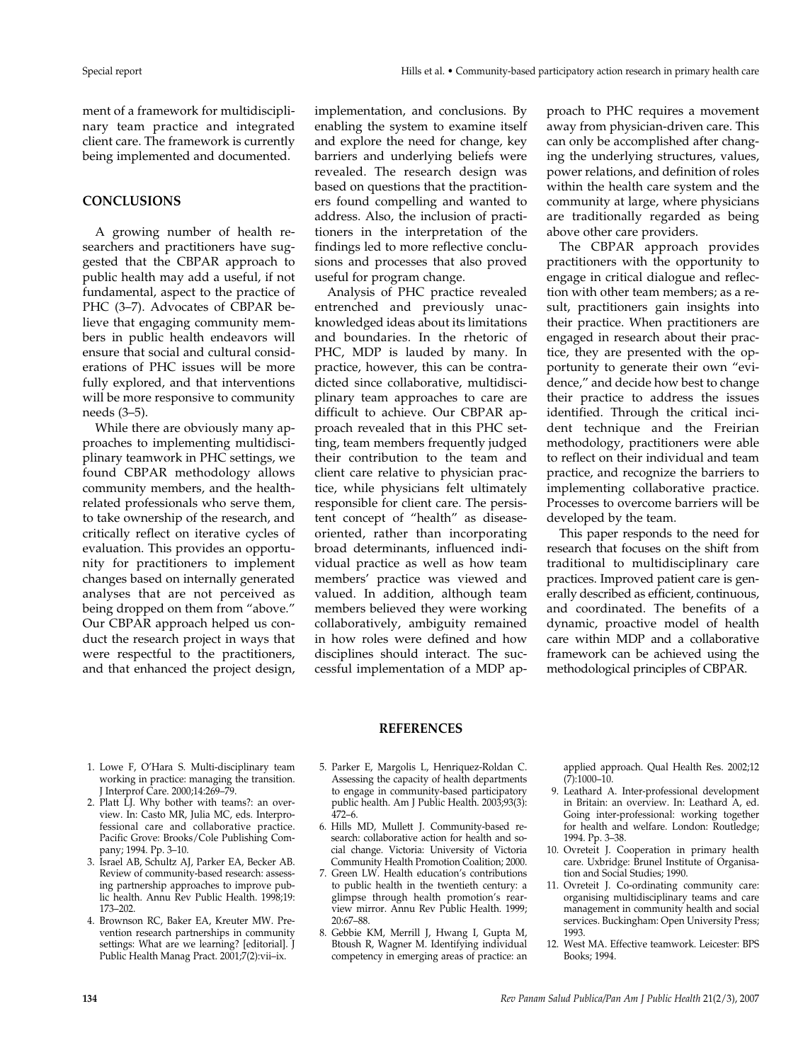ment of a framework for multidisciplinary team practice and integrated client care. The framework is currently being implemented and documented.

## **CONCLUSIONS**

A growing number of health researchers and practitioners have suggested that the CBPAR approach to public health may add a useful, if not fundamental, aspect to the practice of PHC (3-7). Advocates of CBPAR believe that engaging community members in public health endeavors will ensure that social and cultural considerations of PHC issues will be more fully explored, and that interventions will be more responsive to community needs (3–5).

While there are obviously many approaches to implementing multidisciplinary teamwork in PHC settings, we found CBPAR methodology allows community members, and the healthrelated professionals who serve them, to take ownership of the research, and critically reflect on iterative cycles of evaluation. This provides an opportunity for practitioners to implement changes based on internally generated analyses that are not perceived as being dropped on them from "above." Our CBPAR approach helped us conduct the research project in ways that were respectful to the practitioners, and that enhanced the project design,

implementation, and conclusions. By enabling the system to examine itself and explore the need for change, key barriers and underlying beliefs were revealed. The research design was based on questions that the practitioners found compelling and wanted to address. Also, the inclusion of practitioners in the interpretation of the findings led to more reflective conclusions and processes that also proved useful for program change.

Analysis of PHC practice revealed entrenched and previously unacknowledged ideas about its limitations and boundaries. In the rhetoric of PHC, MDP is lauded by many. In practice, however, this can be contradicted since collaborative, multidisciplinary team approaches to care are difficult to achieve. Our CBPAR approach revealed that in this PHC setting, team members frequently judged their contribution to the team and client care relative to physician practice, while physicians felt ultimately responsible for client care. The persistent concept of "health" as diseaseoriented, rather than incorporating broad determinants, influenced individual practice as well as how team members' practice was viewed and valued. In addition, although team members believed they were working collaboratively, ambiguity remained in how roles were defined and how disciplines should interact. The successful implementation of a MDP approach to PHC requires a movement away from physician-driven care. This can only be accomplished after changing the underlying structures, values, power relations, and definition of roles within the health care system and the community at large, where physicians are traditionally regarded as being above other care providers.

The CBPAR approach provides practitioners with the opportunity to engage in critical dialogue and reflection with other team members; as a result, practitioners gain insights into their practice. When practitioners are engaged in research about their practice, they are presented with the opportunity to generate their own "evidence," and decide how best to change their practice to address the issues identified. Through the critical incident technique and the Freirian methodology, practitioners were able to reflect on their individual and team practice, and recognize the barriers to implementing collaborative practice. Processes to overcome barriers will be developed by the team.

This paper responds to the need for research that focuses on the shift from traditional to multidisciplinary care practices. Improved patient care is generally described as efficient, continuous, and coordinated. The benefits of a dynamic, proactive model of health care within MDP and a collaborative framework can be achieved using the methodological principles of CBPAR.

## **REFERENCES**

- 1. Lowe F, O'Hara S. Multi-disciplinary team working in practice: managing the transition. J Interprof Care. 2000;14:269–79.
- 2. Platt LJ. Why bother with teams?: an overview. In: Casto MR, Julia MC, eds. Interprofessional care and collaborative practice. Pacific Grove: Brooks/Cole Publishing Company; 1994. Pp. 3–10.
- 3. Israel AB, Schultz AJ, Parker EA, Becker AB. Review of community-based research: assessing partnership approaches to improve public health. Annu Rev Public Health. 1998;19: 173–202.
- 4. Brownson RC, Baker EA, Kreuter MW. Prevention research partnerships in community settings: What are we learning? [editorial]. J Public Health Manag Pract. 2001;7(2):vii-ix.
- 5. Parker E, Margolis L, Henriquez-Roldan C. Assessing the capacity of health departments to engage in community-based participatory public health. Am J Public Health. 2003;93(3): 472–6.
- 6. Hills MD, Mullett J. Community-based research: collaborative action for health and social change. Victoria: University of Victoria Community Health Promotion Coalition; 2000.
- 7. Green LW. Health education's contributions to public health in the twentieth century: a glimpse through health promotion's rearview mirror. Annu Rev Public Health. 1999; 20:67–88.
- 8. Gebbie KM, Merrill J, Hwang I, Gupta M, Btoush R, Wagner M. Identifying individual competency in emerging areas of practice: an

applied approach. Qual Health Res. 2002;12  $(7):1000-10.$ 

- 9. Leathard A. Inter-professional development in Britain: an overview. In: Leathard A, ed. Going inter-professional: working together for health and welfare. London: Routledge; 1994. Pp. 3–38.
- 10. Ovreteit J. Cooperation in primary health care. Uxbridge: Brunel Institute of Organisation and Social Studies; 1990.
- 11. Ovreteit J. Co-ordinating community care: organising multidisciplinary teams and care management in community health and social services. Buckingham: Open University Press; 1993.
- 12. West MA. Effective teamwork. Leicester: BPS Books; 1994.